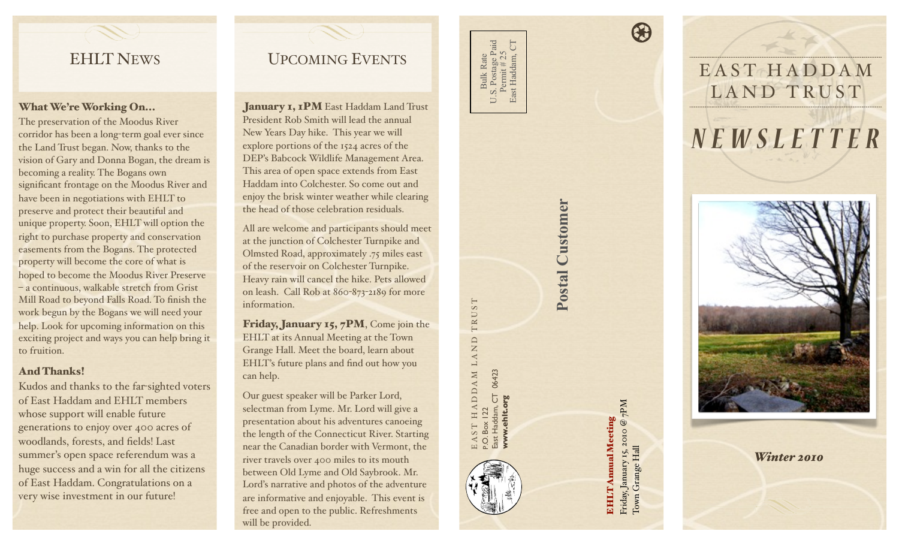# EHLT NEWS

#### What We're Working On...

The preservation of the Moodus River corridor has been a long -term goal ever since the Land Trust began. Now, thanks to the vision of Gary and Donna Bogan, the dream is becoming a reality. The Bogans own significant frontage on the Moodus River and have been in negotiations with EHLT to preserve and protect their beautiful and unique property. Soon, EHLT will option the right to purchase property and conservation easements from the Bogans. The protected property will become the core of what is hoped to become the Moodus River Preserve – a continuous, walkable stretch from Grist Mill Road to beyond Falls Road. To finish the work begun by the Bogans we will need your help. Look for upcoming information on this exciting project and ways you can help bring it to fruition.

### And Thanks!

Kudos and thanks to the far-sighted voters of East Haddam and EHLT members whose support will enable future generations to enjoy over 400 acres of woodlands, forests, and fields! Last summer's open space referendum was a huge success and a win for all the citizens of East Haddam. Congratulations on a very wise investment in our future!

# UPCOMING EVENTS

January 1, 1PM East Haddam Land Trust President Rob Smith will lead the annual New Years Day hike. This year we will explore portions of the 1524 acres of the DEP's Babcock Wildlife Management Area. This area of open space extends from East Haddam into Colchester. So come out and enjoy the brisk winter weather while clearing the head of those celebration residuals.

All are welcome and participants should meet at the junction of Colchester Turnpike and Olmsted Road, approximately .75 miles east of the reservoir on Colchester Turnpike. Heavy rain will cancel the hike. Pets allowed on leash. Call Rob at 860 -873 -2189 for more information.

Friday, January 15, 7PM, Come join the EHLT at its Annual Meeting at the Town Grange Hall. Meet the board, learn about EHLT's future plans and find out how you can help.

Our guest speaker will be Parker Lord, selectman from Lyme. Mr. Lord will give a presentation about his adventures canoeing the length of the Connecticut River. Starting near the Canadian border with Vermont, the river travels over 400 miles to its mouth between Old Lyme and Old Saybrook. Mr. Lord's narrative and photos of the adventure are informative and enjoyable. This event is free and open to the public. Refreshments will be provided.

Bulk Rate<br>1. Postage Paid U.S. Postage Paid<br>Permit # 25<br>East Haddam, CT U.S. Postage Paid East Haddam, CT Permit # 25 Bulk Rate  $S \nightharpoonup$ 

EAST HADDAM LAND TRUST

 $\begin{array}{c} {\rm H}{\rm ADD}{\rm A}{\rm M}~{\rm L}{\rm A}{\rm N}{\rm D}\\ {\rm I2}\end{array}$ 

TRUST

P.O. Box 122

East Haddam, CT 06423 **[www.ehlt.org](http://www.ehlt.org)**

E A ST H A D D A M I<br>P.O. Box 122<br>East Haddam, CT 06423<br>**WWW.ehit.org** 

# Postal Customer **Postal Customer**

Friday, January 15, 2010 @ 7PM Friday, January 15, 2010 @ 7PM<br>Town Grange Hall **EHLT Annual Meeting** EHLT Annual Meeting Town Grange Hall

 $\bigcirc$ 





*Winter 2010*